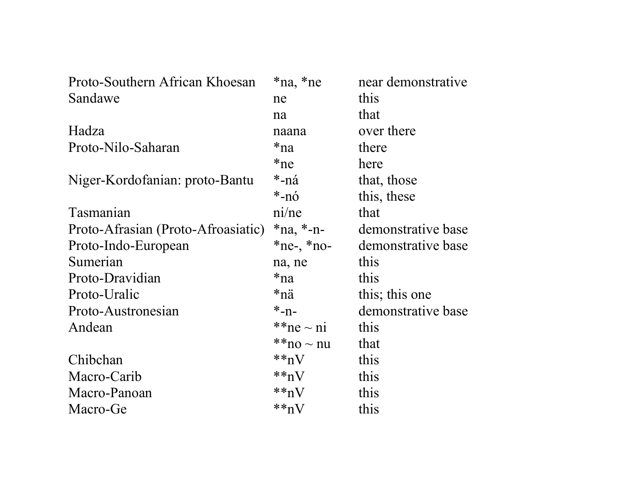| Proto-Southern African Khoesan     | *na, *ne        | near demonstrative |
|------------------------------------|-----------------|--------------------|
| Sandawe                            | ne              | this               |
|                                    | na              | that               |
| Hadza                              | naana           | over there         |
| Proto-Nilo-Saharan                 | *na             | there              |
|                                    | $*ne$           | here               |
| Niger-Kordofanian: proto-Bantu     | *-ná            | that, those        |
|                                    | *-nó            | this, these        |
| Tasmanian                          | ni/ne           | that               |
| Proto-Afrasian (Proto-Afroasiatic) | $*na, *-n-$     | demonstrative base |
| Proto-Indo-European                | $*ne-, *no-$    | demonstrative base |
| Sumerian                           | na, ne          | this               |
| Proto-Dravidian                    | *na             | this               |
| Proto-Uralic                       | *nä             | this; this one     |
| Proto-Austronesian                 | $*_{-n-}$       | demonstrative base |
| Andean                             | ** $ne \sim ni$ | this               |
|                                    | $**$ no ~ nu    | that               |
| Chibchan                           | $**nV$          | this               |
| Macro-Carib                        | $**nV$          | this               |
| Macro-Panoan                       | $**nV$          | this               |
| Macro-Ge                           | $**nV$          | this               |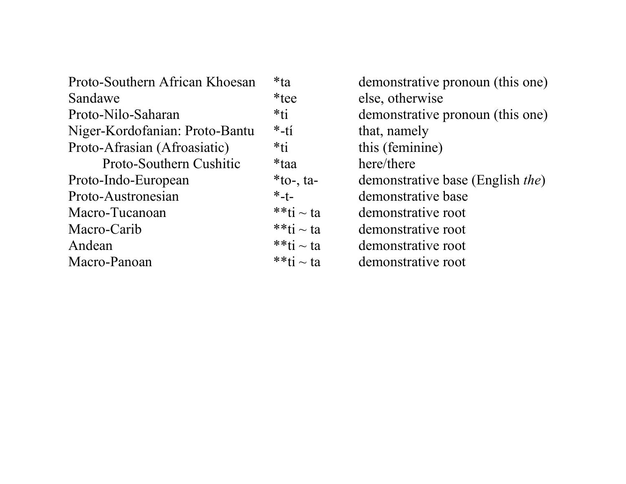| Proto-Southern African Khoesan | $*ta$          | demonstrative pronoun (this one)         |
|--------------------------------|----------------|------------------------------------------|
| Sandawe                        | *tee           | else, otherwise                          |
| Proto-Nilo-Saharan             | $*ti$          | demonstrative pronoun (this one)         |
| Niger-Kordofanian: Proto-Bantu | $*$ -tí        | that, namely                             |
| Proto-Afrasian (Afroasiatic)   | $*ti$          | this (feminine)                          |
| Proto-Southern Cushitic        | *taa           | here/there                               |
| Proto-Indo-European            | $*$ to-, ta-   | demonstrative base (English <i>the</i> ) |
| Proto-Austronesian             | $*$ -t-        | demonstrative base                       |
| Macro-Tucanoan                 | $**$ ti ~ ta   | demonstrative root                       |
| Macro-Carib                    | **ti $\sim$ ta | demonstrative root                       |
| Andean                         | **ti $\sim$ ta | demonstrative root                       |
| Macro-Panoan                   | **ti $\sim$ ta | demonstrative root                       |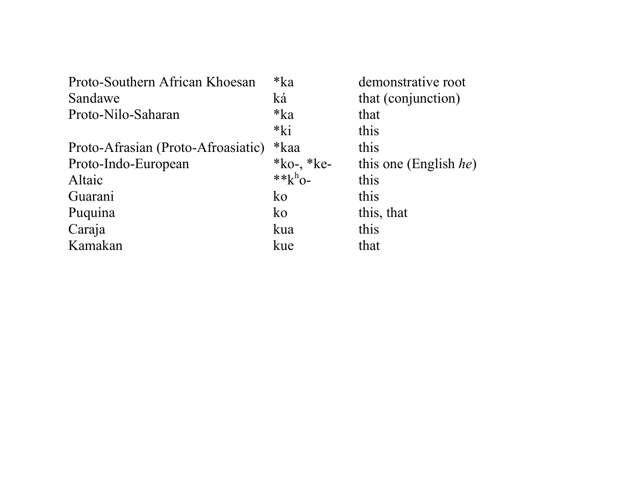| Proto-Southern African Khoesan     | $*ka$       | demonstrative root            |
|------------------------------------|-------------|-------------------------------|
| Sandawe                            | ká          | that (conjunction)            |
| Proto-Nilo-Saharan                 | $*ka$       | that                          |
|                                    | $*ki$       | this                          |
| Proto-Afrasian (Proto-Afroasiatic) | *kaa        | this                          |
| Proto-Indo-European                | *ko-, *ke-  | this one (English <i>he</i> ) |
| Altaic                             | ** $k^h$ 0- | this                          |
| Guarani                            | $k_{0}$     | this                          |
| Puquina                            | $k_{0}$     | this, that                    |
| Caraja                             | kua         | this                          |
| Kamakan                            | kue         | that                          |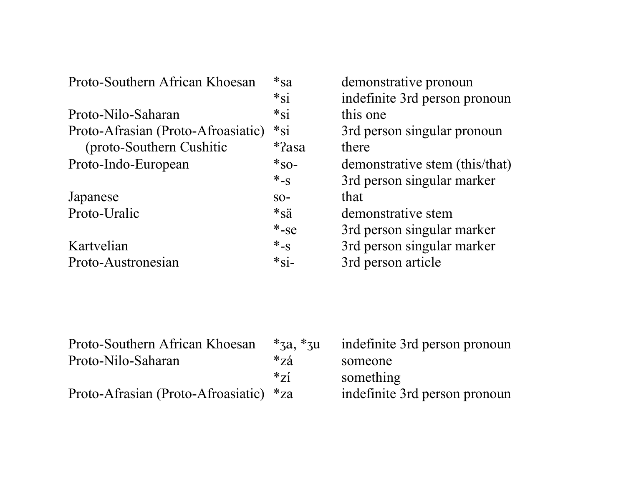| Proto-Southern African Khoesan     | $*_{sa}$                       | demonstrative pronoun          |
|------------------------------------|--------------------------------|--------------------------------|
|                                    | $*_{\rm Si}$                   | indefinite 3rd person pronoun  |
| Proto-Nilo-Saharan                 | $*_{\rm Si}$                   | this one                       |
| Proto-Afrasian (Proto-Afroasiatic) | $*_{\rm Si}$                   | 3rd person singular pronoun    |
| (proto-Southern Cushitic           | $*$ ?asa                       | there                          |
| Proto-Indo-European                | $*_{SO}$ -                     | demonstrative stem (this/that) |
|                                    | $*_{-S}$                       | 3rd person singular marker     |
| Japanese                           | $SO-$                          | that                           |
| Proto-Uralic                       | $*_{\text{S} \ddot{\text{a}}}$ | demonstrative stem             |
|                                    | $*$ -se                        | 3rd person singular marker     |
| Kartvelian                         | $*_{-S}$                       | 3rd person singular marker     |
| Proto-Austronesian                 | $*_{\text{Si}-}$               | 3rd person article             |
|                                    |                                |                                |

| Proto-Southern African Khoesan         | $*_{3a}$ , $*_{3u}$ | indefinite 3rd person pronoun |
|----------------------------------------|---------------------|-------------------------------|
| Proto-Nilo-Saharan                     | $*_{Z\acute{a}}$    | someone                       |
|                                        | $*_{71}$            | something                     |
| Proto-Afrasian (Proto-Afroasiatic) *za |                     | indefinite 3rd person pronoun |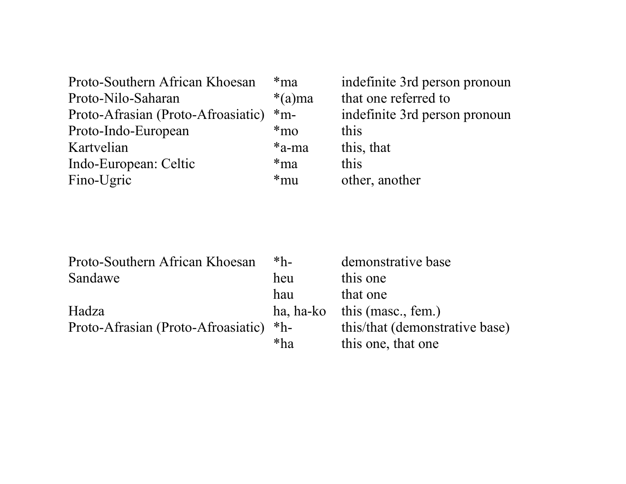| Proto-Southern African Khoesan     | $*$ ma    | indefinite 3rd person pronoun |
|------------------------------------|-----------|-------------------------------|
| Proto-Nilo-Saharan                 | $*(a)$ ma | that one referred to          |
| Proto-Afrasian (Proto-Afroasiatic) | $*_{m}$ - | indefinite 3rd person pronoun |
| Proto-Indo-European                | $*$ mo    | this                          |
| Kartvelian                         | $*a-ma$   | this, that                    |
| Indo-European: Celtic              | $*$ ma    | this                          |
| Fino-Ugric                         | $*mu$     | other, another                |

| Proto-Southern African Khoesan     | $*h-$ | demonstrative base             |
|------------------------------------|-------|--------------------------------|
| Sandawe                            | heu   | this one                       |
|                                    | hau   | that one                       |
| Hadza                              |       | ha, ha-ko this (masc., fem.)   |
| Proto-Afrasian (Proto-Afroasiatic) | $*h-$ | this/that (demonstrative base) |
|                                    | $*ha$ | this one, that one             |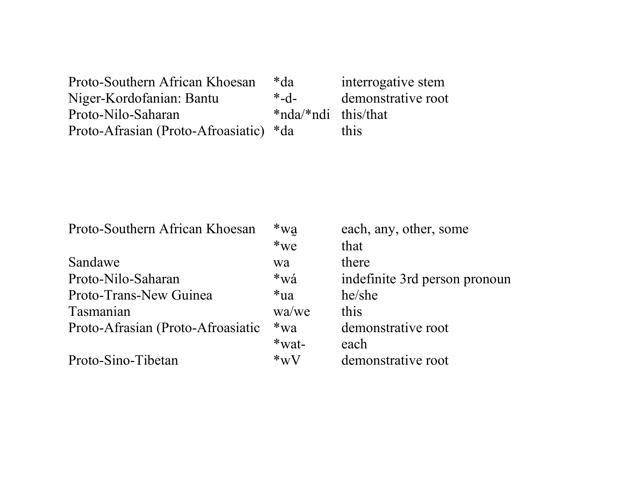| Proto-Southern African Khoesan         | *da                   | interrogative stem |
|----------------------------------------|-----------------------|--------------------|
| Niger-Kordofanian: Bantu               | $-6-$                 | demonstrative root |
| Proto-Nilo-Saharan                     | $*nda/*ndi$ this/that |                    |
| Proto-Afrasian (Proto-Afroasiatic) *da |                       | this               |

| Proto-Southern African Khoesan    | $*_{\text{wa}}$ | each, any, other, some        |
|-----------------------------------|-----------------|-------------------------------|
|                                   | $*we$           | that                          |
| Sandawe                           | wa              | there                         |
| Proto-Nilo-Saharan                | *wá             | indefinite 3rd person pronoun |
| Proto-Trans-New Guinea            | $*ua$           | he/she                        |
| Tasmanian                         | wa/we           | this                          |
| Proto-Afrasian (Proto-Afroasiatic | $*_{\text{W2}}$ | demonstrative root            |
|                                   | $*$ wat-        | each                          |
| Proto-Sino-Tibetan                | $*_{\rm W}V$    | demonstrative root            |